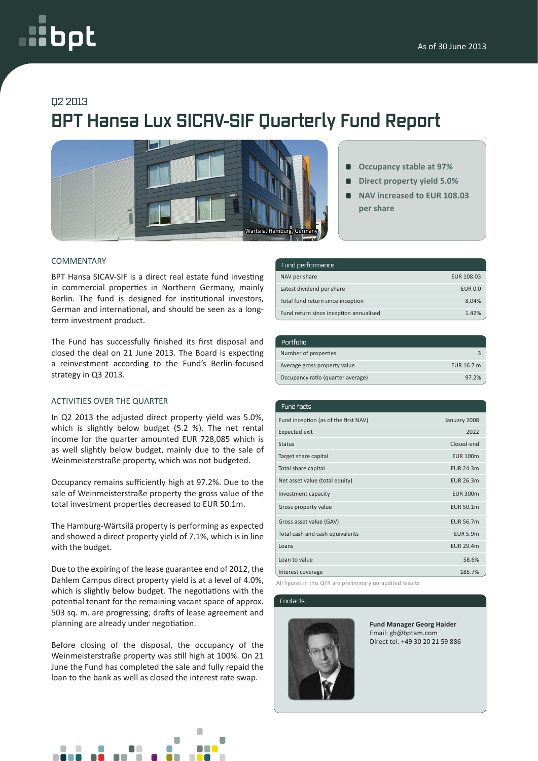# oc

### Q2 2013

## **BPT Hansa Lux SICAV-SIF Quarterly Fund Report**



#### COMMENTARY

BPT Hansa SICAV-SIF is a direct real estate fund investing in commercial properties in Northern Germany, mainly Berlin. The fund is designed for institutional investors, German and international, and should be seen as a longterm investment product.

The Fund has successfully finished its first disposal and closed the deal on 21 June 2013. The Board is expecting a reinvestment according to the Fund's Berlin-focused strategy in Q3 2013.

#### ACTIVITIES OVER THE QUARTER

In Q2 2013 the adjusted direct property yield was 5.0%, which is slightly below budget (5.2 %). The net rental income for the quarter amounted EUR 728,085 which is as well slightly below budget, mainly due to the sale of Weinmeisterstraße property, which was not budgeted.

Occupancy remains sufficiently high at 97.2%. Due to the sale of Weinmeisterstraße property the gross value of the total investment properties decreased to EUR 50.1m.

The Hamburg-Wärtsilä property is performing as expected and showed a direct property yield of 7.1%, which is in line with the budget.

Due to the expiring of the lease guarantee end of 2012, the Dahlem Campus direct property yield is at a level of 4.0%, which is slightly below budget. The negotiations with the potential tenant for the remaining vacant space of approx. 503 sq. m. are progressing; drafts of lease agreement and planning are already under negotiation.

Before closing of the disposal, the occupancy of the Weinmeisterstraße property was still high at 100%. On 21 June the Fund has completed the sale and fully repaid the loan to the bank as well as closed the interest rate swap.



- **Direct property yield 5.0%**   $\blacksquare$
- **NAV increased to EUR 108.03 per share**

| Fund performance                       |                |
|----------------------------------------|----------------|
| NAV per share                          | EUR 108.03     |
| Latest dividend per share              | <b>EUR 0.0</b> |
| Total fund return since inception      | 8.04%          |
| Fund return since inception annualised | 1.42%          |

| Portfolio                         |            |
|-----------------------------------|------------|
| Number of properties              |            |
| Average gross property value      | EUR 16.7 m |
| Occupancy ratio (quarter average) | 97.2%      |

| Fund facts                           |                  |
|--------------------------------------|------------------|
| Fund inception (as of the first NAV) | January 2008     |
| <b>Expected exit</b>                 | 2022             |
| <b>Status</b>                        | Closed-end       |
| Target share capital                 | <b>EUR 100m</b>  |
| Total share capital                  | <b>EUR 24.3m</b> |
| Net asset value (total equity)       | EUR 26.3m        |
| Investment capacity                  | <b>EUR 300m</b>  |
| Gross property value                 | EUR 50.1m        |
| Gross asset value (GAV)              | <b>EUR 56.7m</b> |
| Total cash and cash equivalents      | <b>EUR 5.9m</b>  |
| Loans                                | <b>EUR 29.4m</b> |
| Loan to value                        | 58.6%            |
| Interest coverage                    | 185.7%           |

All figures in this QFR are preliminary un-audited results

#### Contacts



**Fund Manager Georg Haider** Email: gh@bptam.com Direct tel. +49 30 20 21 59 886